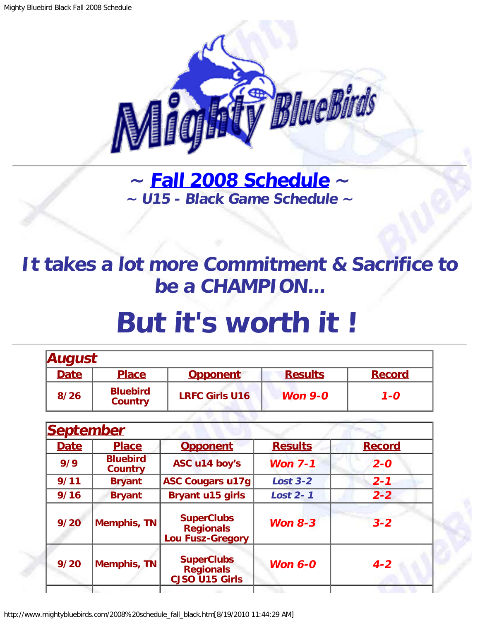

**~ [Fall 2008 Schedule](#page-0-0) ~ ~ U15 - Black Game Schedule ~**

## <span id="page-0-1"></span>**It takes a lot more Commitment & Sacrifice to be a CHAMPION...**

## **But it's worth it !**

| <b>August</b> |                                   |                       |                |               |  |
|---------------|-----------------------------------|-----------------------|----------------|---------------|--|
| <b>Date</b>   | <b>Place</b>                      | <b>Opponent</b>       | <b>Results</b> | <b>Record</b> |  |
| 8/26          | <b>Bluebird</b><br><b>Country</b> | <b>LRFC Girls U16</b> | Won $9-0$      | $1 - 0$       |  |

23. 93. 94. 95. 96

<span id="page-0-0"></span>

|             | <b>September</b>                  |                                                                  |                 |               |
|-------------|-----------------------------------|------------------------------------------------------------------|-----------------|---------------|
| <b>Date</b> | <b>Place</b>                      | <b>Opponent</b>                                                  | <b>Results</b>  | <b>Record</b> |
| 9/9         | <b>Bluebird</b><br><b>Country</b> | ASC u14 boy's                                                    | <b>Won 7-1</b>  | $2 - 0$       |
| 9/11        | <b>Bryant</b>                     | <b>ASC Cougars u17g</b>                                          | <b>Lost 3-2</b> | $2 - 1$       |
| 9/16        | <b>Bryant</b>                     | <b>Bryant u15 girls</b>                                          | <b>Lost 2-1</b> | $2 - 2$       |
| 9/20        | <b>Memphis, TN</b>                | <b>SuperClubs</b><br><b>Regionals</b><br><b>Lou Fusz-Gregory</b> | <b>Won 8-3</b>  | $3 - 2$       |
| 9/20        | <b>Memphis, TN</b>                | <b>SuperClubs</b><br><b>Regionals</b><br>CJSO U15 Girls          | Won $6-0$       | $4 - 2$       |
|             |                                   |                                                                  |                 |               |

http://www.mightybluebirds.com/2008%20schedule\_fall\_black.htm[8/19/2010 11:44:29 AM]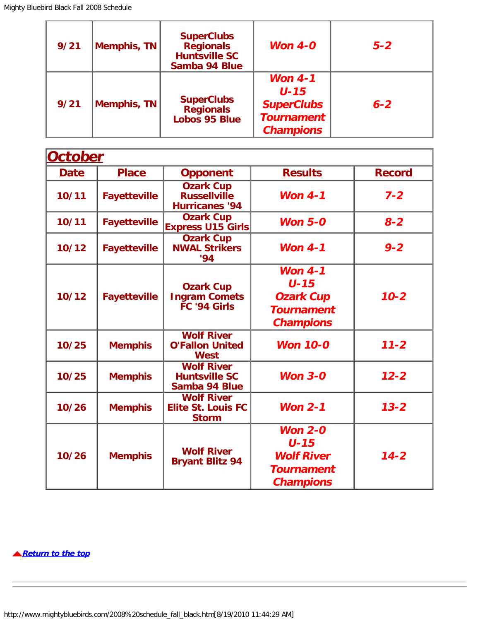| 9/21 | Memphis, TN | <b>SuperClubs</b><br><b>Regionals</b><br><b>Huntsville SC</b><br>Samba 94 Blue | Won $4-0$                                                                           | $5 - 2$ |
|------|-------------|--------------------------------------------------------------------------------|-------------------------------------------------------------------------------------|---------|
| 9/21 | Memphis, TN | <b>SuperClubs</b><br><b>Regionals</b><br><b>Lobos 95 Blue</b>                  | Won $4-1$<br>$U - 15$<br><b>SuperClubs</b><br><b>Tournament</b><br><b>Champions</b> | $6 - 2$ |

| <b>October</b> |                     |                                                                  |                                                                                   |               |  |
|----------------|---------------------|------------------------------------------------------------------|-----------------------------------------------------------------------------------|---------------|--|
| <b>Date</b>    | <b>Place</b>        | <b>Opponent</b>                                                  | <b>Results</b>                                                                    | <b>Record</b> |  |
| 10/11          | <b>Fayetteville</b> | <b>Ozark Cup</b><br><b>Russellville</b><br><b>Hurricanes '94</b> | Won $4-1$                                                                         | $7 - 2$       |  |
| 10/11          | <b>Fayetteville</b> | <b>Ozark Cup</b><br><b>Express U15 Girls</b>                     | <b>Won 5-0</b>                                                                    | $8 - 2$       |  |
| 10/12          | <b>Fayetteville</b> | <b>Ozark Cup</b><br><b>NWAL Strikers</b><br>94                   | Won $4-1$                                                                         | $9 - 2$       |  |
| 10/12          | <b>Fayetteville</b> | <b>Ozark Cup</b><br><b>Ingram Comets</b><br>FC '94 Girls         | Won $4-1$<br>$U-15$<br><b>Ozark Cup</b><br><b>Tournament</b><br><b>Champions</b>  | $10 - 2$      |  |
| 10/25          | <b>Memphis</b>      | <b>Wolf River</b><br><b>O'Fallon United</b><br><b>West</b>       | <b>Won 10-0</b>                                                                   | $11 - 2$      |  |
| 10/25          | <b>Memphis</b>      | <b>Wolf River</b><br><b>Huntsville SC</b><br>Samba 94 Blue       | Won $3-0$                                                                         | $12 - 2$      |  |
| 10/26          | <b>Memphis</b>      | <b>Wolf River</b><br><b>Elite St. Louis FC</b><br><b>Storm</b>   | <b>Won 2-1</b>                                                                    | $13 - 2$      |  |
| 10/26          | <b>Memphis</b>      | <b>Wolf River</b><br><b>Bryant Blitz 94</b>                      | Won $2-0$<br>$U-15$<br><b>Wolf River</b><br><b>Tournament</b><br><b>Champions</b> | $14 - 2$      |  |

**[Return to the top](#page-0-1)**

http://www.mightybluebirds.com/2008%20schedule\_fall\_black.htm[8/19/2010 11:44:29 AM]